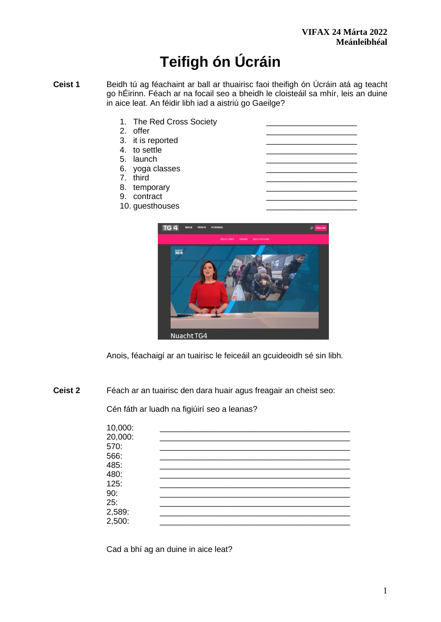# **Teifigh ón Úcráin**

- **Ceist 1** Beidh tú ag féachaint ar ball ar thuairisc faoi theifigh ón Úcráin atá ag teacht go hÉirinn. Féach ar na focail seo a bheidh le cloisteáil sa mhír, leis an duine in aice leat. An féidir libh iad a aistriú go Gaeilge?
	- 1. The Red Cross Society
	- 2. offer
	- 3. it is reported
	- 4. to settle
	- 5. launch
	- 6. yoga classes
	- 7. third
	- 8. temporary
	- 9. contract
	- 10. guesthouses



Anois, féachaigí ar an tuairisc le feiceáil an gcuideoidh sé sin libh.

**Ceist 2** Féach ar an tuairisc den dara huair agus freagair an cheist seo:

Cén fáth ar luadh na figiúirí seo a leanas?

| 10,000: |  |  |
|---------|--|--|
| 20,000: |  |  |
| 570:    |  |  |
| 566:    |  |  |
| 485:    |  |  |
| 480:    |  |  |
| 125:    |  |  |
| 90:     |  |  |
| 25:     |  |  |
| 2,589:  |  |  |
| 2,500:  |  |  |

Cad a bhí ag an duine in aice leat?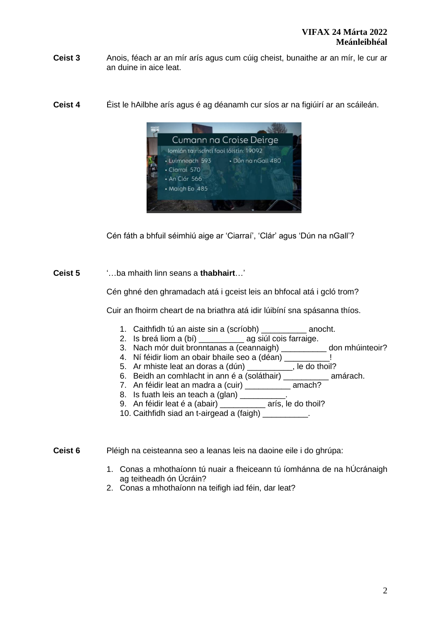- **Ceist 3** Anois, féach ar an mír arís agus cum cúig cheist, bunaithe ar an mír, le cur ar an duine in aice leat.
- **Ceist 4** Éist le hAilbhe arís agus é ag déanamh cur síos ar na figiúirí ar an scáileán.



Cén fáth a bhfuil séimhiú aige ar 'Ciarraí', 'Clár' agus 'Dún na nGall'?

**Ceist 5** '…ba mhaith linn seans a **thabhairt**…'

Cén ghné den ghramadach atá i gceist leis an bhfocal atá i gcló trom?

Cuir an fhoirm cheart de na briathra atá idir lúibíní sna spásanna thíos.

- 1. Caithfidh tú an aiste sin a (scríobh) anocht.
- 2. Is breá liom a (bí) entitled ag siúl cois farraige.
- 3. Nach mór duit bronntanas a (ceannaigh) don mhúinteoir?
- 4. Ní féidir liom an obair bhaile seo a (déan) \_\_\_\_\_\_\_\_\_\_!
- 5. Ar mhiste leat an doras a (dún)
- 6. Beidh an comhlacht in ann é a (soláthair) \_\_\_\_\_\_\_\_\_\_ amárach.
- 7. An féidir leat an madra a (cuir) en mach?
- 8. Is fuath leis an teach a (glan) \_\_\_\_\_\_\_\_\_
- 9. An féidir leat é a (abair) en la rís, le do thoil?
- 10. Caithfidh siad an t-airgead a (faigh) \_\_\_\_\_\_\_\_\_\_.

**Ceist 6** Pléigh na ceisteanna seo a leanas leis na daoine eile i do ghrúpa:

- 1. Conas a mhothaíonn tú nuair a fheiceann tú íomhánna de na hÚcránaigh ag teitheadh ón Úcráin?
- 2. Conas a mhothaíonn na teifigh iad féin, dar leat?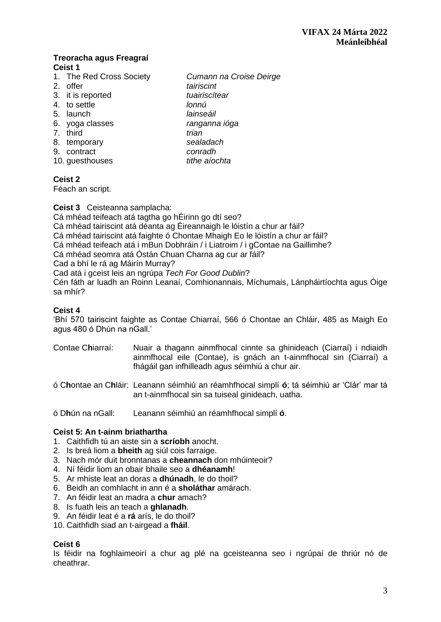### **Treoracha agus Freagraí Ceist 1**

- 1. The Red Cross Society *Cumann na Croise Deirge*
- 
- 3. it is reported *tuairiscítear*
- 4. to settle *lonnú*
- 5. launch *lainseáil*
- 6. yoga classes *ranganna ióga*
- 7. third *trian*
- 8. temporary *sealadach*
- 9. contract *conradh*
- 10. guesthouses *tithe aíochta*

## **Ceist 2**

Féach an script.

## **Ceist 3** Ceisteanna samplacha:

Cá mhéad teifeach atá tagtha go hÉirinn go dtí seo?

Cá mhéad tairiscint atá déanta ag Éireannaigh le lóistín a chur ar fáil?

Cá mhéad tairiscint atá faighte ó Chontae Mhaigh Eo le lóistín a chur ar fáil?

2. offer *tairiscint* 

Cá mhéad teifeach atá i mBun Dobhráin / i Liatroim / i gContae na Gaillimhe?

Cá mhéad seomra atá Óstán Chuan Charna ag cur ar fáil?

Cad a bhí le rá ag Máirín Murray?

Cad atá i gceist leis an ngrúpa *Tech For Good Dublin*?

Cén fáth ar luadh an Roinn Leanaí, Comhionannais, Míchumais, Lánpháirtíochta agus Óige sa mhír?

# **Ceist 4**

'Bhí 570 tairiscint faighte as Contae Chiarraí, 566 ó Chontae an Chláir, 485 as Maigh Eo agus 480 ó Dhún na nGall.'

- Contae C**h**iarraí: Nuair a thagann ainmfhocal cinnte sa ghinideach (Ciarraí) i ndiaidh ainmfhocal eile (Contae), is gnách an t-ainmfhocal sin (Ciarraí) a fhágáil gan infhilleadh agus séimhiú a chur air.
- ó C**h**ontae an C**h**láir: Leanann séimhiú an réamhfhocal simplí **ó**; tá séimhiú ar 'Clár' mar tá an t-ainmfhocal sin sa tuiseal ginideach, uatha.

ó D**h**ún na nGall: Leanann séimhiú an réamhfhocal simplí **ó**.

## **Ceist 5: An t-ainm briathartha**

- 1. Caithfidh tú an aiste sin a **scríobh** anocht.
- 2. Is breá liom a **bheith** ag siúl cois farraige.
- 3. Nach mór duit bronntanas a **cheannach** don mhúinteoir?
- 4. Ní féidir liom an obair bhaile seo a **dhéanamh**!
- 5. Ar mhiste leat an doras a **dhúnadh**, le do thoil?
- 6. Beidh an comhlacht in ann é a **sholáthar** amárach.
- 7. An féidir leat an madra a **chur** amach?
- 8. Is fuath leis an teach a **ghlanadh**.
- 9. An féidir leat é a **rá** arís, le do thoil?
- 10. Caithfidh siad an t-airgead a **fháil**.

## **Ceist 6**

Is féidir na foghlaimeoirí a chur ag plé na gceisteanna seo i ngrúpaí de thriúr nó de cheathrar.